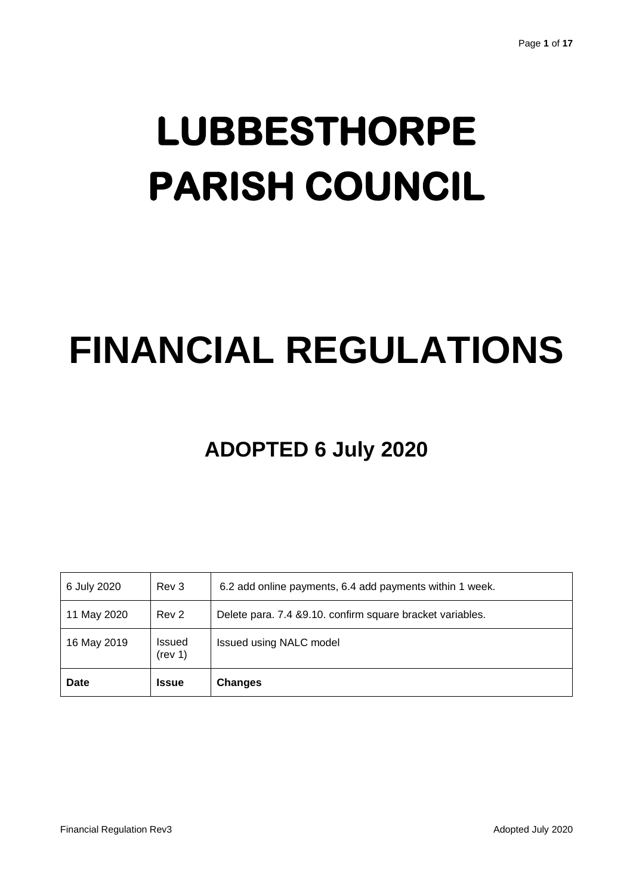# **LUBBESTHORPE PARISH COUNCIL**

# **FINANCIAL REGULATIONS**

# **ADOPTED 6 July 2020**

| 6 July 2020 | Rev 3             | 6.2 add online payments, 6.4 add payments within 1 week.   |
|-------------|-------------------|------------------------------------------------------------|
| 11 May 2020 | Rev 2             | Delete para. 7.4 & 9.10. confirm square bracket variables. |
| 16 May 2019 | Issued<br>(rev 1) | <b>Issued using NALC model</b>                             |
| <b>Date</b> | <b>Issue</b>      | <b>Changes</b>                                             |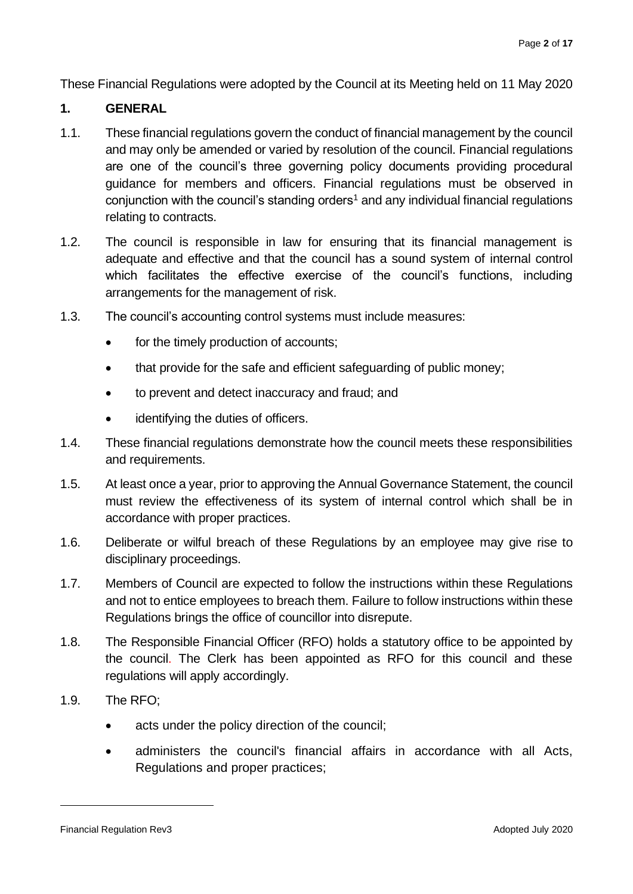These Financial Regulations were adopted by the Council at its Meeting held on 11 May 2020

#### **1. GENERAL**

- 1.1. These financial regulations govern the conduct of financial management by the council and may only be amended or varied by resolution of the council. Financial regulations are one of the council's three governing policy documents providing procedural guidance for members and officers. Financial regulations must be observed in conjunction with the council's standing orders<sup>1</sup> and any individual financial regulations relating to contracts.
- 1.2. The council is responsible in law for ensuring that its financial management is adequate and effective and that the council has a sound system of internal control which facilitates the effective exercise of the council's functions, including arrangements for the management of risk.
- 1.3. The council's accounting control systems must include measures:
	- for the timely production of accounts;
	- that provide for the safe and efficient safeguarding of public money;
	- to prevent and detect inaccuracy and fraud; and
	- identifying the duties of officers.
- 1.4. These financial regulations demonstrate how the council meets these responsibilities and requirements.
- 1.5. At least once a year, prior to approving the Annual Governance Statement, the council must review the effectiveness of its system of internal control which shall be in accordance with proper practices.
- 1.6. Deliberate or wilful breach of these Regulations by an employee may give rise to disciplinary proceedings.
- 1.7. Members of Council are expected to follow the instructions within these Regulations and not to entice employees to breach them. Failure to follow instructions within these Regulations brings the office of councillor into disrepute.
- 1.8. The Responsible Financial Officer (RFO) holds a statutory office to be appointed by the council. The Clerk has been appointed as RFO for this council and these regulations will apply accordingly.
- 1.9. The RFO;
	- acts under the policy direction of the council;
	- administers the council's financial affairs in accordance with all Acts, Regulations and proper practices;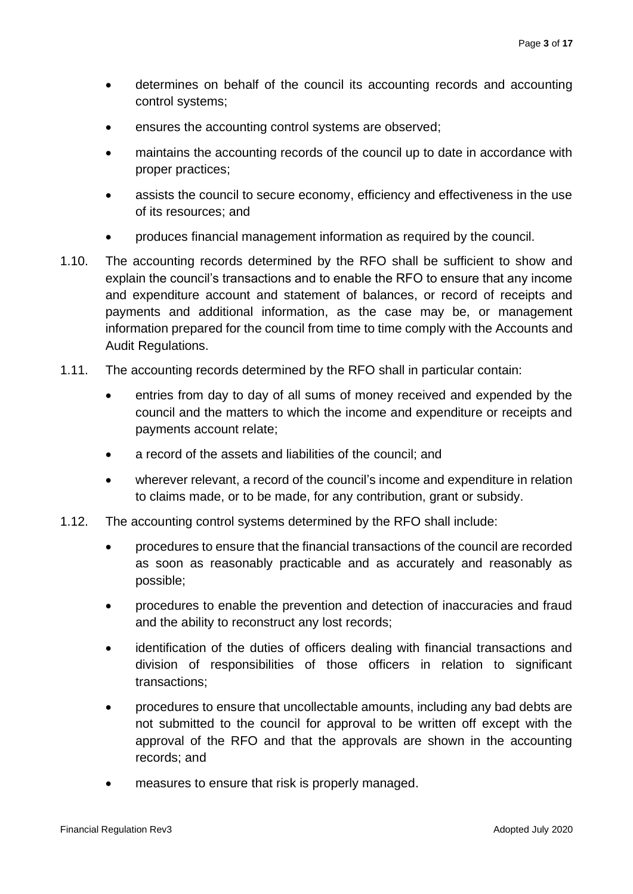- determines on behalf of the council its accounting records and accounting control systems;
- ensures the accounting control systems are observed;
- maintains the accounting records of the council up to date in accordance with proper practices;
- assists the council to secure economy, efficiency and effectiveness in the use of its resources; and
- produces financial management information as required by the council.
- 1.10. The accounting records determined by the RFO shall be sufficient to show and explain the council's transactions and to enable the RFO to ensure that any income and expenditure account and statement of balances, or record of receipts and payments and additional information, as the case may be, or management information prepared for the council from time to time comply with the Accounts and Audit Regulations.
- 1.11. The accounting records determined by the RFO shall in particular contain:
	- entries from day to day of all sums of money received and expended by the council and the matters to which the income and expenditure or receipts and payments account relate;
	- a record of the assets and liabilities of the council; and
	- wherever relevant, a record of the council's income and expenditure in relation to claims made, or to be made, for any contribution, grant or subsidy.
- 1.12. The accounting control systems determined by the RFO shall include:
	- procedures to ensure that the financial transactions of the council are recorded as soon as reasonably practicable and as accurately and reasonably as possible;
	- procedures to enable the prevention and detection of inaccuracies and fraud and the ability to reconstruct any lost records;
	- identification of the duties of officers dealing with financial transactions and division of responsibilities of those officers in relation to significant transactions;
	- procedures to ensure that uncollectable amounts, including any bad debts are not submitted to the council for approval to be written off except with the approval of the RFO and that the approvals are shown in the accounting records; and
	- measures to ensure that risk is properly managed.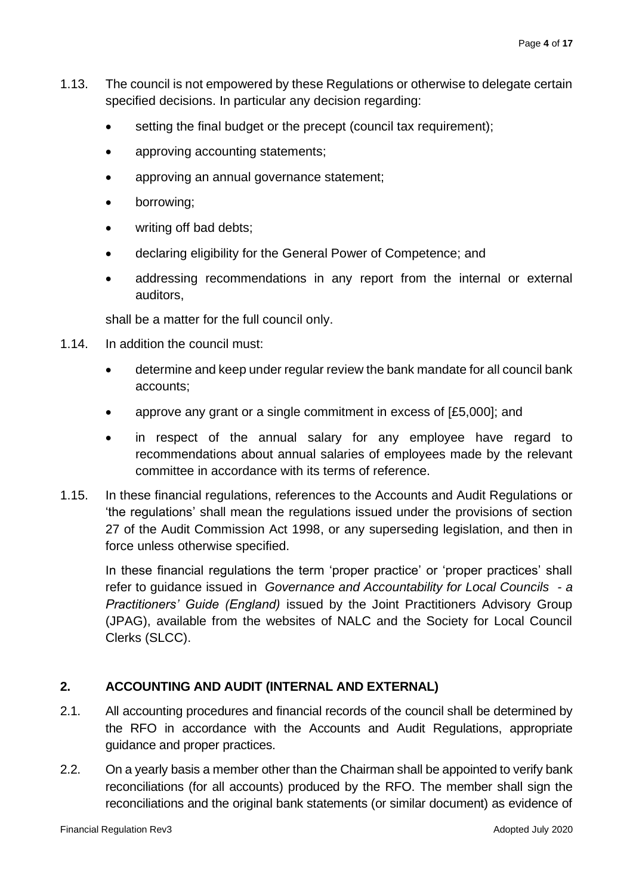- 1.13. The council is not empowered by these Regulations or otherwise to delegate certain specified decisions. In particular any decision regarding:
	- setting the final budget or the precept (council tax requirement);
	- approving accounting statements;
	- approving an annual governance statement;
	- borrowing;
	- writing off bad debts:
	- declaring eligibility for the General Power of Competence; and
	- addressing recommendations in any report from the internal or external auditors,

shall be a matter for the full council only.

- 1.14. In addition the council must:
	- determine and keep under regular review the bank mandate for all council bank accounts;
	- approve any grant or a single commitment in excess of [£5,000]; and
	- in respect of the annual salary for any employee have regard to recommendations about annual salaries of employees made by the relevant committee in accordance with its terms of reference.
- 1.15. In these financial regulations, references to the Accounts and Audit Regulations or 'the regulations' shall mean the regulations issued under the provisions of section 27 of the Audit Commission Act 1998, or any superseding legislation, and then in force unless otherwise specified.

In these financial regulations the term 'proper practice' or 'proper practices' shall refer to guidance issued in *Governance and Accountability for Local Councils - a Practitioners' Guide (England)* issued by the Joint Practitioners Advisory Group (JPAG), available from the websites of NALC and the Society for Local Council Clerks (SLCC).

# **2. ACCOUNTING AND AUDIT (INTERNAL AND EXTERNAL)**

- 2.1. All accounting procedures and financial records of the council shall be determined by the RFO in accordance with the Accounts and Audit Regulations, appropriate guidance and proper practices.
- 2.2. On a yearly basis a member other than the Chairman shall be appointed to verify bank reconciliations (for all accounts) produced by the RFO. The member shall sign the reconciliations and the original bank statements (or similar document) as evidence of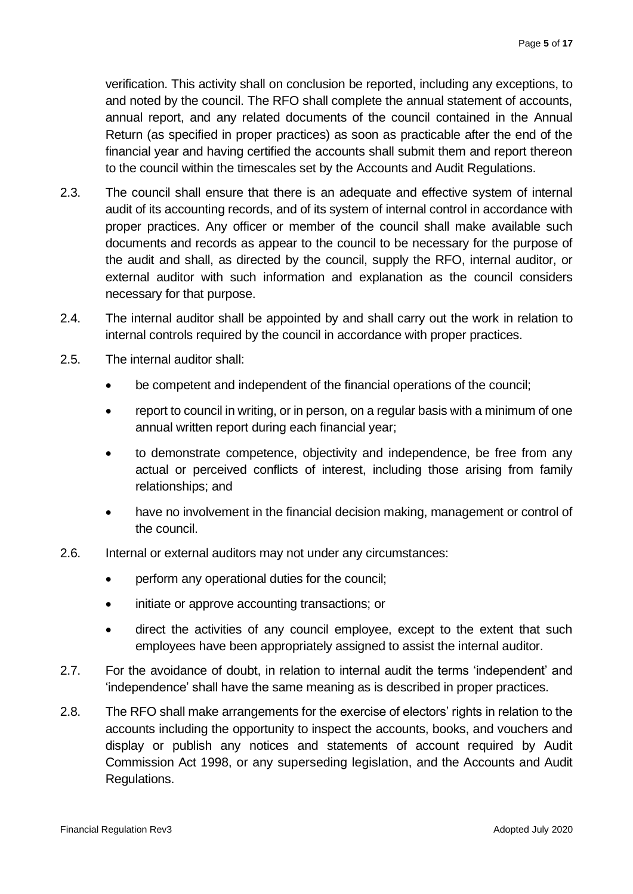verification. This activity shall on conclusion be reported, including any exceptions, to and noted by the council. The RFO shall complete the annual statement of accounts, annual report, and any related documents of the council contained in the Annual Return (as specified in proper practices) as soon as practicable after the end of the financial year and having certified the accounts shall submit them and report thereon to the council within the timescales set by the Accounts and Audit Regulations.

- 2.3. The council shall ensure that there is an adequate and effective system of internal audit of its accounting records, and of its system of internal control in accordance with proper practices. Any officer or member of the council shall make available such documents and records as appear to the council to be necessary for the purpose of the audit and shall, as directed by the council, supply the RFO, internal auditor, or external auditor with such information and explanation as the council considers necessary for that purpose.
- 2.4. The internal auditor shall be appointed by and shall carry out the work in relation to internal controls required by the council in accordance with proper practices.
- 2.5. The internal auditor shall:
	- be competent and independent of the financial operations of the council;
	- report to council in writing, or in person, on a regular basis with a minimum of one annual written report during each financial year;
	- to demonstrate competence, objectivity and independence, be free from any actual or perceived conflicts of interest, including those arising from family relationships; and
	- have no involvement in the financial decision making, management or control of the council.
- 2.6. Internal or external auditors may not under any circumstances:
	- perform any operational duties for the council;
	- initiate or approve accounting transactions; or
	- direct the activities of any council employee, except to the extent that such employees have been appropriately assigned to assist the internal auditor.
- 2.7. For the avoidance of doubt, in relation to internal audit the terms 'independent' and 'independence' shall have the same meaning as is described in proper practices.
- 2.8. The RFO shall make arrangements for the exercise of electors' rights in relation to the accounts including the opportunity to inspect the accounts, books, and vouchers and display or publish any notices and statements of account required by Audit Commission Act 1998, or any superseding legislation, and the Accounts and Audit Regulations.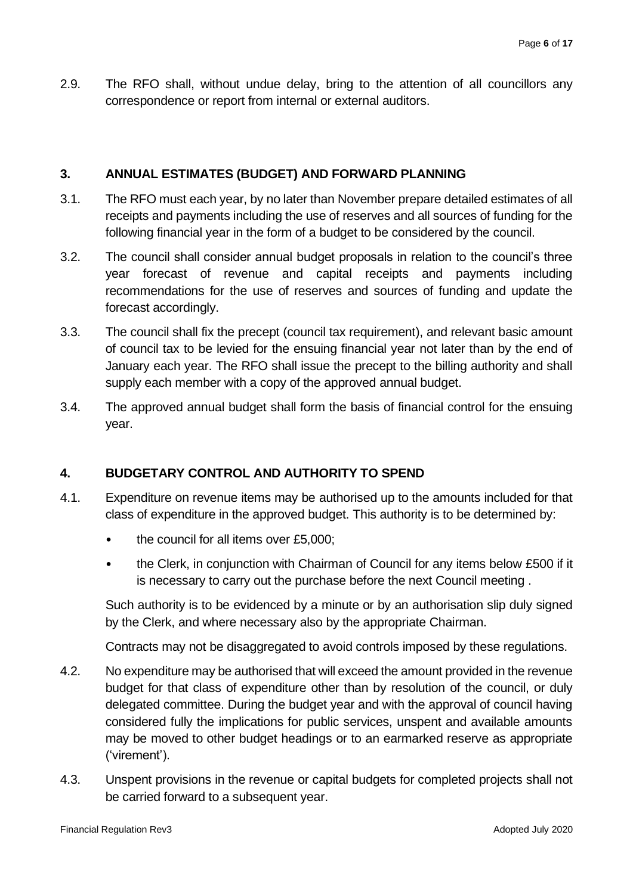2.9. The RFO shall, without undue delay, bring to the attention of all councillors any correspondence or report from internal or external auditors.

### **3. ANNUAL ESTIMATES (BUDGET) AND FORWARD PLANNING**

- 3.1. The RFO must each year, by no later than November prepare detailed estimates of all receipts and payments including the use of reserves and all sources of funding for the following financial year in the form of a budget to be considered by the council.
- 3.2. The council shall consider annual budget proposals in relation to the council's three year forecast of revenue and capital receipts and payments including recommendations for the use of reserves and sources of funding and update the forecast accordingly.
- 3.3. The council shall fix the precept (council tax requirement), and relevant basic amount of council tax to be levied for the ensuing financial year not later than by the end of January each year. The RFO shall issue the precept to the billing authority and shall supply each member with a copy of the approved annual budget.
- 3.4. The approved annual budget shall form the basis of financial control for the ensuing year.

# **4. BUDGETARY CONTROL AND AUTHORITY TO SPEND**

- 4.1. Expenditure on revenue items may be authorised up to the amounts included for that class of expenditure in the approved budget. This authority is to be determined by:
	- the council for all items over £5,000;
	- the Clerk, in conjunction with Chairman of Council for any items below £500 if it is necessary to carry out the purchase before the next Council meeting .

Such authority is to be evidenced by a minute or by an authorisation slip duly signed by the Clerk, and where necessary also by the appropriate Chairman.

Contracts may not be disaggregated to avoid controls imposed by these regulations.

- 4.2. No expenditure may be authorised that will exceed the amount provided in the revenue budget for that class of expenditure other than by resolution of the council, or duly delegated committee. During the budget year and with the approval of council having considered fully the implications for public services, unspent and available amounts may be moved to other budget headings or to an earmarked reserve as appropriate ('virement').
- 4.3. Unspent provisions in the revenue or capital budgets for completed projects shall not be carried forward to a subsequent year.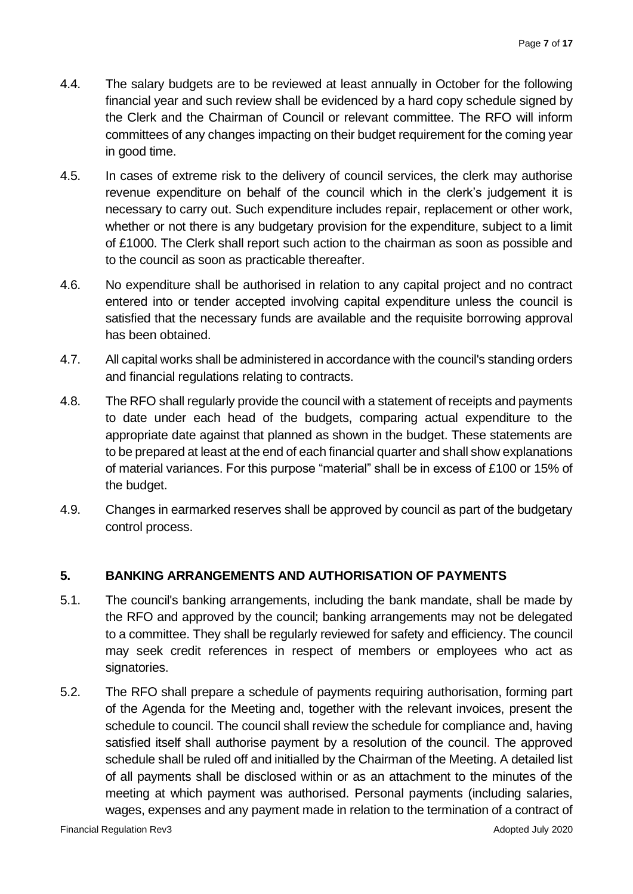- 4.4. The salary budgets are to be reviewed at least annually in October for the following financial year and such review shall be evidenced by a hard copy schedule signed by the Clerk and the Chairman of Council or relevant committee. The RFO will inform committees of any changes impacting on their budget requirement for the coming year in good time.
- 4.5. In cases of extreme risk to the delivery of council services, the clerk may authorise revenue expenditure on behalf of the council which in the clerk's judgement it is necessary to carry out. Such expenditure includes repair, replacement or other work, whether or not there is any budgetary provision for the expenditure, subject to a limit of £1000. The Clerk shall report such action to the chairman as soon as possible and to the council as soon as practicable thereafter.
- 4.6. No expenditure shall be authorised in relation to any capital project and no contract entered into or tender accepted involving capital expenditure unless the council is satisfied that the necessary funds are available and the requisite borrowing approval has been obtained.
- 4.7. All capital works shall be administered in accordance with the council's standing orders and financial regulations relating to contracts.
- 4.8. The RFO shall regularly provide the council with a statement of receipts and payments to date under each head of the budgets, comparing actual expenditure to the appropriate date against that planned as shown in the budget. These statements are to be prepared at least at the end of each financial quarter and shall show explanations of material variances. For this purpose "material" shall be in excess of £100 or 15% of the budget.
- 4.9. Changes in earmarked reserves shall be approved by council as part of the budgetary control process.

# **5. BANKING ARRANGEMENTS AND AUTHORISATION OF PAYMENTS**

- 5.1. The council's banking arrangements, including the bank mandate, shall be made by the RFO and approved by the council; banking arrangements may not be delegated to a committee. They shall be regularly reviewed for safety and efficiency. The council may seek credit references in respect of members or employees who act as signatories.
- 5.2. The RFO shall prepare a schedule of payments requiring authorisation, forming part of the Agenda for the Meeting and, together with the relevant invoices, present the schedule to council. The council shall review the schedule for compliance and, having satisfied itself shall authorise payment by a resolution of the council. The approved schedule shall be ruled off and initialled by the Chairman of the Meeting. A detailed list of all payments shall be disclosed within or as an attachment to the minutes of the meeting at which payment was authorised. Personal payments (including salaries, wages, expenses and any payment made in relation to the termination of a contract of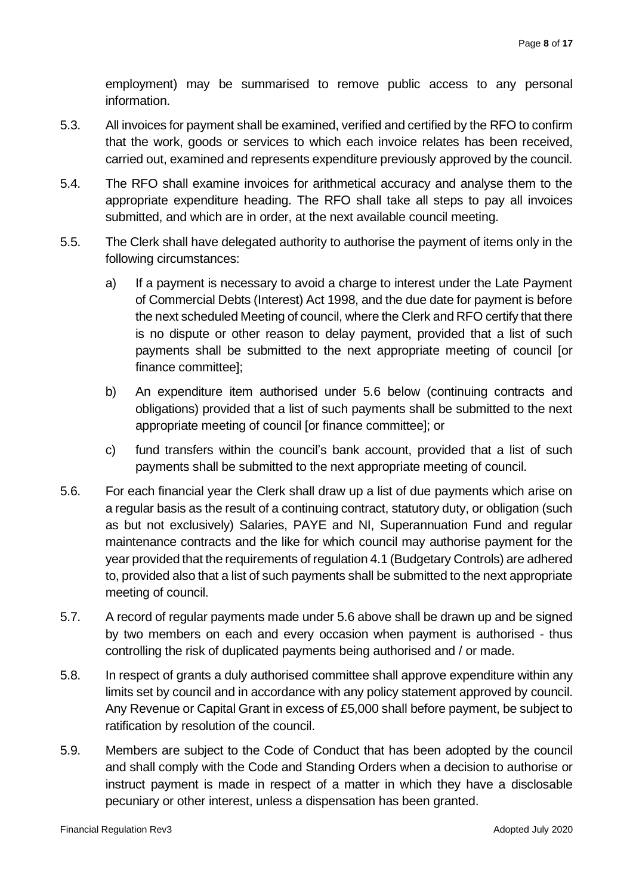employment) may be summarised to remove public access to any personal information.

- 5.3. All invoices for payment shall be examined, verified and certified by the RFO to confirm that the work, goods or services to which each invoice relates has been received, carried out, examined and represents expenditure previously approved by the council.
- 5.4. The RFO shall examine invoices for arithmetical accuracy and analyse them to the appropriate expenditure heading. The RFO shall take all steps to pay all invoices submitted, and which are in order, at the next available council meeting.
- 5.5. The Clerk shall have delegated authority to authorise the payment of items only in the following circumstances:
	- a) If a payment is necessary to avoid a charge to interest under the Late Payment of Commercial Debts (Interest) Act 1998, and the due date for payment is before the next scheduled Meeting of council, where the Clerk and RFO certify that there is no dispute or other reason to delay payment, provided that a list of such payments shall be submitted to the next appropriate meeting of council [or finance committee];
	- b) An expenditure item authorised under 5.6 below (continuing contracts and obligations) provided that a list of such payments shall be submitted to the next appropriate meeting of council [or finance committee]; or
	- c) fund transfers within the council's bank account, provided that a list of such payments shall be submitted to the next appropriate meeting of council.
- 5.6. For each financial year the Clerk shall draw up a list of due payments which arise on a regular basis as the result of a continuing contract, statutory duty, or obligation (such as but not exclusively) Salaries, PAYE and NI, Superannuation Fund and regular maintenance contracts and the like for which council may authorise payment for the year provided that the requirements of regulation 4.1 (Budgetary Controls) are adhered to, provided also that a list of such payments shall be submitted to the next appropriate meeting of council.
- 5.7. A record of regular payments made under 5.6 above shall be drawn up and be signed by two members on each and every occasion when payment is authorised - thus controlling the risk of duplicated payments being authorised and / or made.
- 5.8. In respect of grants a duly authorised committee shall approve expenditure within any limits set by council and in accordance with any policy statement approved by council. Any Revenue or Capital Grant in excess of £5,000 shall before payment, be subject to ratification by resolution of the council.
- 5.9. Members are subject to the Code of Conduct that has been adopted by the council and shall comply with the Code and Standing Orders when a decision to authorise or instruct payment is made in respect of a matter in which they have a disclosable pecuniary or other interest, unless a dispensation has been granted.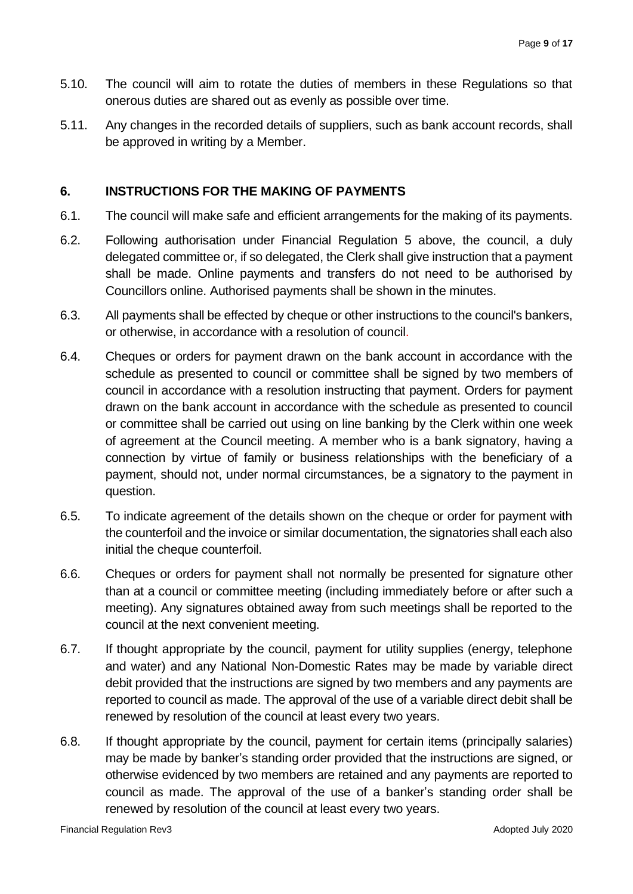- 5.10. The council will aim to rotate the duties of members in these Regulations so that onerous duties are shared out as evenly as possible over time.
- 5.11. Any changes in the recorded details of suppliers, such as bank account records, shall be approved in writing by a Member.

#### **6. INSTRUCTIONS FOR THE MAKING OF PAYMENTS**

- 6.1. The council will make safe and efficient arrangements for the making of its payments.
- 6.2. Following authorisation under Financial Regulation 5 above, the council, a duly delegated committee or, if so delegated, the Clerk shall give instruction that a payment shall be made. Online payments and transfers do not need to be authorised by Councillors online. Authorised payments shall be shown in the minutes.
- 6.3. All payments shall be effected by cheque or other instructions to the council's bankers, or otherwise, in accordance with a resolution of council.
- 6.4. Cheques or orders for payment drawn on the bank account in accordance with the schedule as presented to council or committee shall be signed by two members of council in accordance with a resolution instructing that payment. Orders for payment drawn on the bank account in accordance with the schedule as presented to council or committee shall be carried out using on line banking by the Clerk within one week of agreement at the Council meeting. A member who is a bank signatory, having a connection by virtue of family or business relationships with the beneficiary of a payment, should not, under normal circumstances, be a signatory to the payment in question.
- 6.5. To indicate agreement of the details shown on the cheque or order for payment with the counterfoil and the invoice or similar documentation, the signatories shall each also initial the cheque counterfoil.
- 6.6. Cheques or orders for payment shall not normally be presented for signature other than at a council or committee meeting (including immediately before or after such a meeting). Any signatures obtained away from such meetings shall be reported to the council at the next convenient meeting.
- 6.7. If thought appropriate by the council, payment for utility supplies (energy, telephone and water) and any National Non-Domestic Rates may be made by variable direct debit provided that the instructions are signed by two members and any payments are reported to council as made. The approval of the use of a variable direct debit shall be renewed by resolution of the council at least every two years.
- 6.8. If thought appropriate by the council, payment for certain items (principally salaries) may be made by banker's standing order provided that the instructions are signed, or otherwise evidenced by two members are retained and any payments are reported to council as made. The approval of the use of a banker's standing order shall be renewed by resolution of the council at least every two years.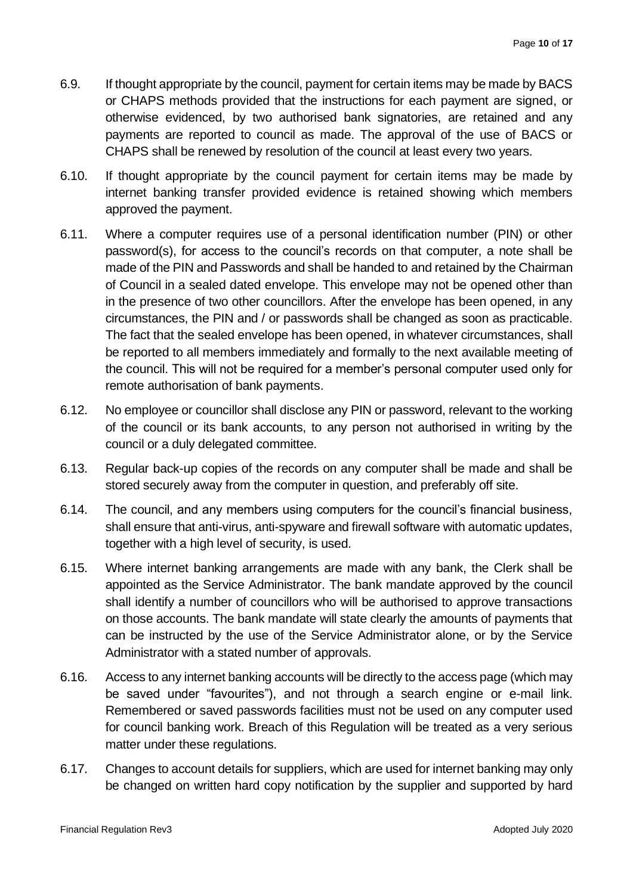- 6.9. If thought appropriate by the council, payment for certain items may be made by BACS or CHAPS methods provided that the instructions for each payment are signed, or otherwise evidenced, by two authorised bank signatories, are retained and any payments are reported to council as made. The approval of the use of BACS or CHAPS shall be renewed by resolution of the council at least every two years.
- 6.10. If thought appropriate by the council payment for certain items may be made by internet banking transfer provided evidence is retained showing which members approved the payment.
- 6.11. Where a computer requires use of a personal identification number (PIN) or other password(s), for access to the council's records on that computer, a note shall be made of the PIN and Passwords and shall be handed to and retained by the Chairman of Council in a sealed dated envelope. This envelope may not be opened other than in the presence of two other councillors. After the envelope has been opened, in any circumstances, the PIN and / or passwords shall be changed as soon as practicable. The fact that the sealed envelope has been opened, in whatever circumstances, shall be reported to all members immediately and formally to the next available meeting of the council. This will not be required for a member's personal computer used only for remote authorisation of bank payments.
- 6.12. No employee or councillor shall disclose any PIN or password, relevant to the working of the council or its bank accounts, to any person not authorised in writing by the council or a duly delegated committee.
- 6.13. Regular back-up copies of the records on any computer shall be made and shall be stored securely away from the computer in question, and preferably off site.
- 6.14. The council, and any members using computers for the council's financial business, shall ensure that anti-virus, anti-spyware and firewall software with automatic updates, together with a high level of security, is used.
- 6.15. Where internet banking arrangements are made with any bank, the Clerk shall be appointed as the Service Administrator. The bank mandate approved by the council shall identify a number of councillors who will be authorised to approve transactions on those accounts. The bank mandate will state clearly the amounts of payments that can be instructed by the use of the Service Administrator alone, or by the Service Administrator with a stated number of approvals.
- 6.16. Access to any internet banking accounts will be directly to the access page (which may be saved under "favourites"), and not through a search engine or e-mail link. Remembered or saved passwords facilities must not be used on any computer used for council banking work. Breach of this Regulation will be treated as a very serious matter under these regulations.
- 6.17. Changes to account details for suppliers, which are used for internet banking may only be changed on written hard copy notification by the supplier and supported by hard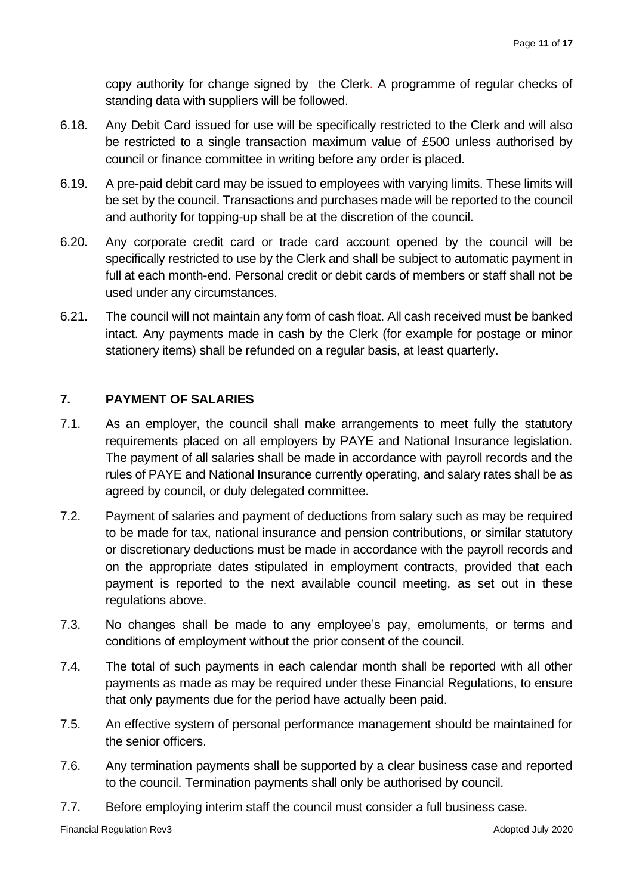copy authority for change signed by the Clerk. A programme of regular checks of standing data with suppliers will be followed.

- 6.18. Any Debit Card issued for use will be specifically restricted to the Clerk and will also be restricted to a single transaction maximum value of £500 unless authorised by council or finance committee in writing before any order is placed.
- 6.19. A pre-paid debit card may be issued to employees with varying limits. These limits will be set by the council. Transactions and purchases made will be reported to the council and authority for topping-up shall be at the discretion of the council.
- 6.20. Any corporate credit card or trade card account opened by the council will be specifically restricted to use by the Clerk and shall be subject to automatic payment in full at each month-end. Personal credit or debit cards of members or staff shall not be used under any circumstances.
- 6.21. The council will not maintain any form of cash float. All cash received must be banked intact. Any payments made in cash by the Clerk (for example for postage or minor stationery items) shall be refunded on a regular basis, at least quarterly.

# **7. PAYMENT OF SALARIES**

- 7.1. As an employer, the council shall make arrangements to meet fully the statutory requirements placed on all employers by PAYE and National Insurance legislation. The payment of all salaries shall be made in accordance with payroll records and the rules of PAYE and National Insurance currently operating, and salary rates shall be as agreed by council, or duly delegated committee.
- 7.2. Payment of salaries and payment of deductions from salary such as may be required to be made for tax, national insurance and pension contributions, or similar statutory or discretionary deductions must be made in accordance with the payroll records and on the appropriate dates stipulated in employment contracts, provided that each payment is reported to the next available council meeting, as set out in these regulations above.
- 7.3. No changes shall be made to any employee's pay, emoluments, or terms and conditions of employment without the prior consent of the council.
- 7.4. The total of such payments in each calendar month shall be reported with all other payments as made as may be required under these Financial Regulations, to ensure that only payments due for the period have actually been paid.
- 7.5. An effective system of personal performance management should be maintained for the senior officers.
- 7.6. Any termination payments shall be supported by a clear business case and reported to the council. Termination payments shall only be authorised by council.
- 7.7. Before employing interim staff the council must consider a full business case.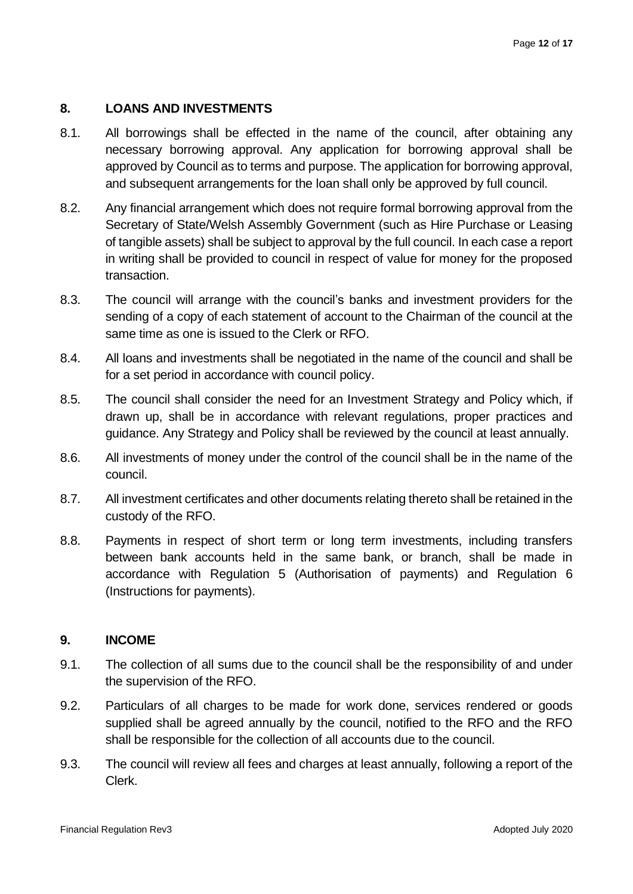#### **8. LOANS AND INVESTMENTS**

- 8.1. All borrowings shall be effected in the name of the council, after obtaining any necessary borrowing approval. Any application for borrowing approval shall be approved by Council as to terms and purpose. The application for borrowing approval, and subsequent arrangements for the loan shall only be approved by full council.
- 8.2. Any financial arrangement which does not require formal borrowing approval from the Secretary of State/Welsh Assembly Government (such as Hire Purchase or Leasing of tangible assets) shall be subject to approval by the full council. In each case a report in writing shall be provided to council in respect of value for money for the proposed transaction.
- 8.3. The council will arrange with the council's banks and investment providers for the sending of a copy of each statement of account to the Chairman of the council at the same time as one is issued to the Clerk or RFO.
- 8.4. All loans and investments shall be negotiated in the name of the council and shall be for a set period in accordance with council policy.
- 8.5. The council shall consider the need for an Investment Strategy and Policy which, if drawn up, shall be in accordance with relevant regulations, proper practices and guidance. Any Strategy and Policy shall be reviewed by the council at least annually.
- 8.6. All investments of money under the control of the council shall be in the name of the council.
- 8.7. All investment certificates and other documents relating thereto shall be retained in the custody of the RFO.
- 8.8. Payments in respect of short term or long term investments, including transfers between bank accounts held in the same bank, or branch, shall be made in accordance with Regulation 5 (Authorisation of payments) and Regulation 6 (Instructions for payments).

#### **9. INCOME**

- 9.1. The collection of all sums due to the council shall be the responsibility of and under the supervision of the RFO.
- 9.2. Particulars of all charges to be made for work done, services rendered or goods supplied shall be agreed annually by the council, notified to the RFO and the RFO shall be responsible for the collection of all accounts due to the council.
- 9.3. The council will review all fees and charges at least annually, following a report of the Clerk.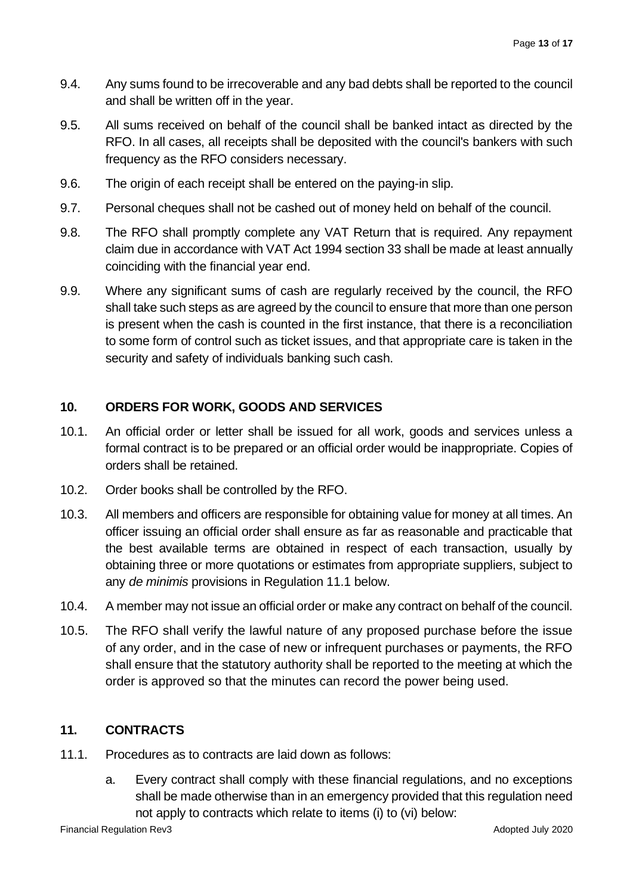- 9.4. Any sums found to be irrecoverable and any bad debts shall be reported to the council and shall be written off in the year.
- 9.5. All sums received on behalf of the council shall be banked intact as directed by the RFO. In all cases, all receipts shall be deposited with the council's bankers with such frequency as the RFO considers necessary.
- 9.6. The origin of each receipt shall be entered on the paying-in slip.
- 9.7. Personal cheques shall not be cashed out of money held on behalf of the council.
- 9.8. The RFO shall promptly complete any VAT Return that is required. Any repayment claim due in accordance with VAT Act 1994 section 33 shall be made at least annually coinciding with the financial year end.
- 9.9. Where any significant sums of cash are regularly received by the council, the RFO shall take such steps as are agreed by the council to ensure that more than one person is present when the cash is counted in the first instance, that there is a reconciliation to some form of control such as ticket issues, and that appropriate care is taken in the security and safety of individuals banking such cash.

# **10. ORDERS FOR WORK, GOODS AND SERVICES**

- 10.1. An official order or letter shall be issued for all work, goods and services unless a formal contract is to be prepared or an official order would be inappropriate. Copies of orders shall be retained.
- 10.2. Order books shall be controlled by the RFO.
- 10.3. All members and officers are responsible for obtaining value for money at all times. An officer issuing an official order shall ensure as far as reasonable and practicable that the best available terms are obtained in respect of each transaction, usually by obtaining three or more quotations or estimates from appropriate suppliers, subject to any *de minimis* provisions in Regulation 11.1 below.
- 10.4. A member may not issue an official order or make any contract on behalf of the council.
- 10.5. The RFO shall verify the lawful nature of any proposed purchase before the issue of any order, and in the case of new or infrequent purchases or payments, the RFO shall ensure that the statutory authority shall be reported to the meeting at which the order is approved so that the minutes can record the power being used.

# **11. CONTRACTS**

- 11.1. Procedures as to contracts are laid down as follows:
	- a. Every contract shall comply with these financial regulations, and no exceptions shall be made otherwise than in an emergency provided that this regulation need not apply to contracts which relate to items (i) to (vi) below:

Financial Regulation Rev3 Adopted July 2020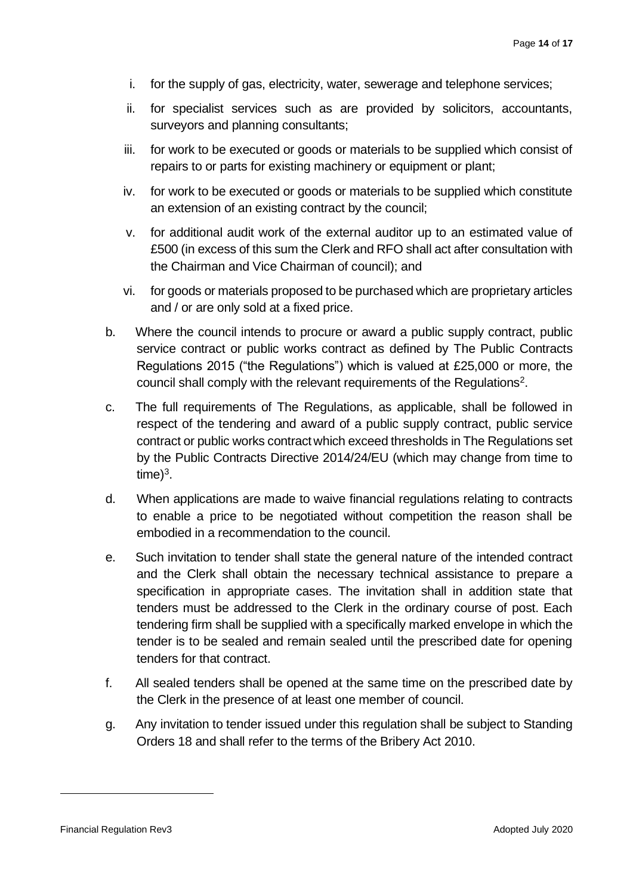- i. for the supply of gas, electricity, water, sewerage and telephone services;
- ii. for specialist services such as are provided by solicitors, accountants, surveyors and planning consultants;
- iii. for work to be executed or goods or materials to be supplied which consist of repairs to or parts for existing machinery or equipment or plant;
- iv. for work to be executed or goods or materials to be supplied which constitute an extension of an existing contract by the council;
- v. for additional audit work of the external auditor up to an estimated value of £500 (in excess of this sum the Clerk and RFO shall act after consultation with the Chairman and Vice Chairman of council); and
- vi. for goods or materials proposed to be purchased which are proprietary articles and / or are only sold at a fixed price.
- b. Where the council intends to procure or award a public supply contract, public service contract or public works contract as defined by The Public Contracts Regulations 2015 ("the Regulations") which is valued at £25,000 or more, the council shall comply with the relevant requirements of the Regulations<sup>2</sup>.
- c. The full requirements of The Regulations, as applicable, shall be followed in respect of the tendering and award of a public supply contract, public service contract or public works contract which exceed thresholds in The Regulations set by the Public Contracts Directive 2014/24/EU (which may change from time to time $)^3$ .
- d. When applications are made to waive financial regulations relating to contracts to enable a price to be negotiated without competition the reason shall be embodied in a recommendation to the council.
- e. Such invitation to tender shall state the general nature of the intended contract and the Clerk shall obtain the necessary technical assistance to prepare a specification in appropriate cases. The invitation shall in addition state that tenders must be addressed to the Clerk in the ordinary course of post. Each tendering firm shall be supplied with a specifically marked envelope in which the tender is to be sealed and remain sealed until the prescribed date for opening tenders for that contract.
- f. All sealed tenders shall be opened at the same time on the prescribed date by the Clerk in the presence of at least one member of council.
- g. Any invitation to tender issued under this regulation shall be subject to Standing Orders 18 and shall refer to the terms of the Bribery Act 2010.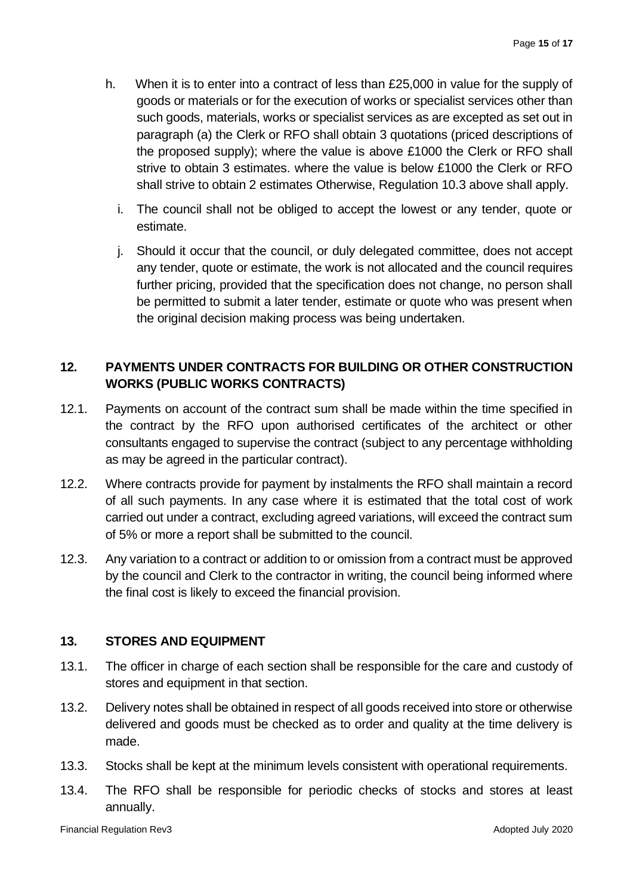- h. When it is to enter into a contract of less than £25,000 in value for the supply of goods or materials or for the execution of works or specialist services other than such goods, materials, works or specialist services as are excepted as set out in paragraph (a) the Clerk or RFO shall obtain 3 quotations (priced descriptions of the proposed supply); where the value is above £1000 the Clerk or RFO shall strive to obtain 3 estimates. where the value is below £1000 the Clerk or RFO shall strive to obtain 2 estimates Otherwise, Regulation 10.3 above shall apply.
	- i. The council shall not be obliged to accept the lowest or any tender, quote or estimate.
	- j. Should it occur that the council, or duly delegated committee, does not accept any tender, quote or estimate, the work is not allocated and the council requires further pricing, provided that the specification does not change, no person shall be permitted to submit a later tender, estimate or quote who was present when the original decision making process was being undertaken.

# **12. PAYMENTS UNDER CONTRACTS FOR BUILDING OR OTHER CONSTRUCTION WORKS (PUBLIC WORKS CONTRACTS)**

- 12.1. Payments on account of the contract sum shall be made within the time specified in the contract by the RFO upon authorised certificates of the architect or other consultants engaged to supervise the contract (subject to any percentage withholding as may be agreed in the particular contract).
- 12.2. Where contracts provide for payment by instalments the RFO shall maintain a record of all such payments. In any case where it is estimated that the total cost of work carried out under a contract, excluding agreed variations, will exceed the contract sum of 5% or more a report shall be submitted to the council.
- 12.3. Any variation to a contract or addition to or omission from a contract must be approved by the council and Clerk to the contractor in writing, the council being informed where the final cost is likely to exceed the financial provision.

# **13. STORES AND EQUIPMENT**

- 13.1. The officer in charge of each section shall be responsible for the care and custody of stores and equipment in that section.
- 13.2. Delivery notes shall be obtained in respect of all goods received into store or otherwise delivered and goods must be checked as to order and quality at the time delivery is made.
- 13.3. Stocks shall be kept at the minimum levels consistent with operational requirements.
- 13.4. The RFO shall be responsible for periodic checks of stocks and stores at least annually.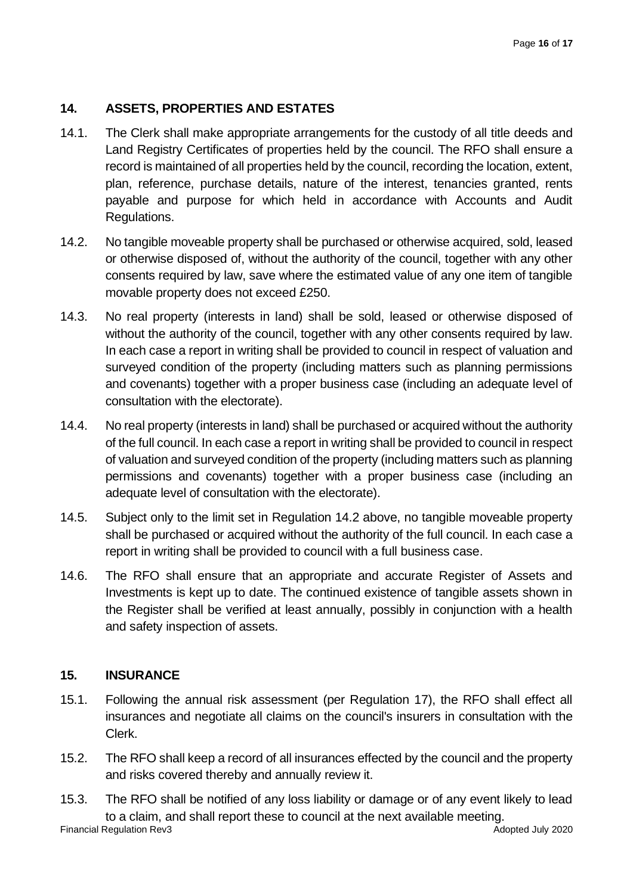# **14. ASSETS, PROPERTIES AND ESTATES**

- 14.1. The Clerk shall make appropriate arrangements for the custody of all title deeds and Land Registry Certificates of properties held by the council. The RFO shall ensure a record is maintained of all properties held by the council, recording the location, extent, plan, reference, purchase details, nature of the interest, tenancies granted, rents payable and purpose for which held in accordance with Accounts and Audit Regulations.
- 14.2. No tangible moveable property shall be purchased or otherwise acquired, sold, leased or otherwise disposed of, without the authority of the council, together with any other consents required by law, save where the estimated value of any one item of tangible movable property does not exceed £250.
- 14.3. No real property (interests in land) shall be sold, leased or otherwise disposed of without the authority of the council, together with any other consents required by law. In each case a report in writing shall be provided to council in respect of valuation and surveyed condition of the property (including matters such as planning permissions and covenants) together with a proper business case (including an adequate level of consultation with the electorate).
- 14.4. No real property (interests in land) shall be purchased or acquired without the authority of the full council. In each case a report in writing shall be provided to council in respect of valuation and surveyed condition of the property (including matters such as planning permissions and covenants) together with a proper business case (including an adequate level of consultation with the electorate).
- 14.5. Subject only to the limit set in Regulation 14.2 above, no tangible moveable property shall be purchased or acquired without the authority of the full council. In each case a report in writing shall be provided to council with a full business case.
- 14.6. The RFO shall ensure that an appropriate and accurate Register of Assets and Investments is kept up to date. The continued existence of tangible assets shown in the Register shall be verified at least annually, possibly in conjunction with a health and safety inspection of assets.

#### **15. INSURANCE**

- 15.1. Following the annual risk assessment (per Regulation 17), the RFO shall effect all insurances and negotiate all claims on the council's insurers in consultation with the Clerk.
- 15.2. The RFO shall keep a record of all insurances effected by the council and the property and risks covered thereby and annually review it.
- 15.3. The RFO shall be notified of any loss liability or damage or of any event likely to lead to a claim, and shall report these to council at the next available meeting.

Financial Regulation Rev3 Adopted July 2020